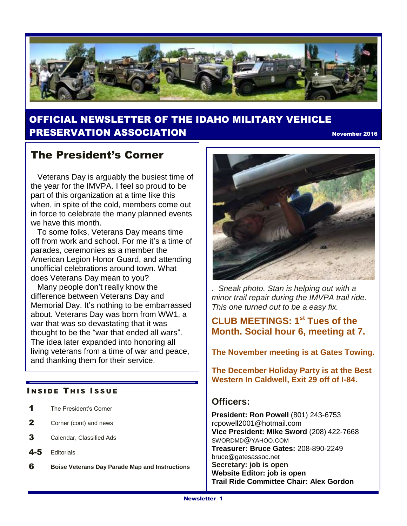

## OFFICIAL NEWSLETTER OF THE IDAHO MILITARY VEHICLE **PRESERVATION ASSOCIATION November 2016** November 2016

# The President's Corner

 Veterans Day is arguably the busiest time of the year for the IMVPA. I feel so proud to be part of this organization at a time like this when, in spite of the cold, members come out in force to celebrate the many planned events we have this month.

 To some folks, Veterans Day means time off from work and school. For me it's a time of parades, ceremonies as a member the American Legion Honor Guard, and attending unofficial celebrations around town. What does Veterans Day mean to you?

 Many people don't really know the difference between Veterans Day and Memorial Day. It's nothing to be embarrassed about. Veterans Day was born from WW1, a war that was so devastating that it was thought to be the "war that ended all wars". The idea later expanded into honoring all living veterans from a time of war and peace, and thanking them for their service.

#### **INSIDE THIS ISSUE**

- 1 The President's Corner
- 2 Corner (cont) and news
- 3 Calendar, Classified Ads
- 4-5 Editorials
- 6 **Boise Veterans Day Parade Map and Instructions**



*. Sneak photo. Stan is helping out with a minor trail repair during the IMVPA trail ride. This one turned out to be a easy fix.* 

## **CLUB MEETINGS: 1st Tues of the Month. Social hour 6, meeting at 7.**

**The November meeting is at Gates Towing.**

**The December Holiday Party is at the Best Western In Caldwell, Exit 29 off of I-84.**

### **Officers:**

**President: Ron Powell** (801) 243-6753 rcpowell2001@hotmail.com **Vice President: Mike Sword** (208) 422-7668 SWORDMD@YAHOO.COM **Treasurer: Bruce Gates:** 208-890-2249 [bruce@gatesassoc.net](mailto:bruce@gatesassoc.net) **Secretary: job is open Website Editor: job is open Trail Ride Committee Chair: Alex Gordon**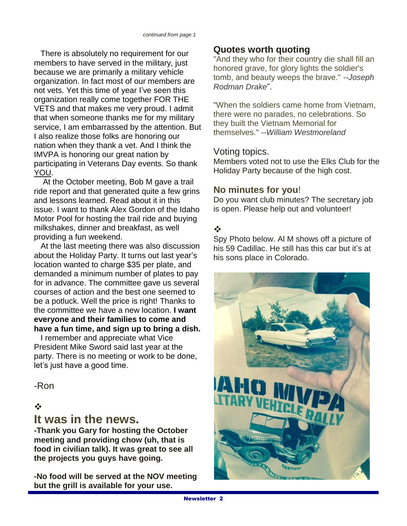There is absolutely no requirement for our members to have served in the military, just because we are primarily a military vehicle organization. In fact most of our members are not vets. Yet this time of year I've seen this organization really come together FOR THE VETS and that makes me very proud. I admit that when someone thanks me for my military service, I am embarrassed by the attention. But I also realize those folks are honoring our nation when they thank a vet. And I think the IMVPA is honoring our great nation by participating in Veterans Day events. So thank YOU.

 At the October meeting, Bob M gave a trail ride report and that generated quite a few grins and lessons learned. Read about it in this issue. I want to thank Alex Gordon of the Idaho Motor Pool for hosting the trail ride and buying milkshakes, dinner and breakfast, as well providing a fun weekend.

 At the last meeting there was also discussion about the Holiday Party. It turns out last year's location wanted to charge \$35 per plate, and demanded a minimum number of plates to pay for in advance. The committee gave us several courses of action and the best one seemed to be a potluck. Well the price is right! Thanks to the committee we have a new location. **I want everyone and their families to come and have a fun time, and sign up to bring a dish.**

 I remember and appreciate what Vice President Mike Sword said last year at the party. There is no meeting or work to be done, let's just have a good time.

-Ron

### $\frac{1}{2}$

## **It was in the news.**

**-Thank you Gary for hosting the October meeting and providing chow (uh, that is food in civilian talk). It was great to see all the projects you guys have going.**

**-No food will be served at the NOV meeting but the grill is available for your use.**

## **Quotes worth quoting**

"And they who for their country die shall fill an honored grave, for glory lights the soldier's tomb, and beauty weeps the brave." *--Joseph Rodman Drake*".

"When the soldiers came home from Vietnam, there were no parades, no celebrations. So they built the Vietnam Memorial for themselves." *--William Westmoreland*

### Voting topics.

Members voted not to use the Elks Club for the Holiday Party because of the high cost.

### **No minutes for you**!

Do you want club minutes? The secretary job is open. Please help out and volunteer!

### $\frac{1}{2}$

Spy Photo below. Al M shows off a picture of his 59 Cadillac. He still has this car but it's at his sons place in Colorado.

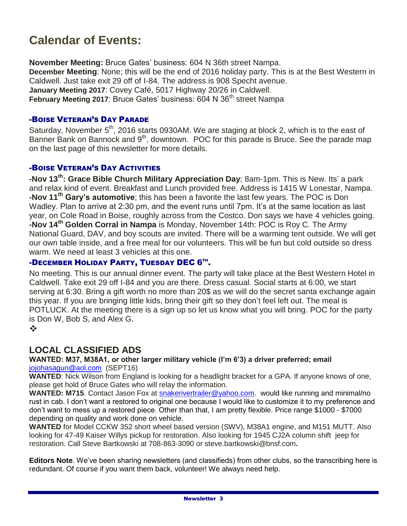# **Calendar of Events:**

**November Meeting:** Bruce Gates' business: 604 N 36th street Nampa. **December Meeting**: None; this will be the end of 2016 holiday party. This is at the Best Western in Caldwell. Just take exit 29 off of I-84. The address is 908 Specht avenue. **January Meeting 2017**: Covey Café, 5017 Highway 20/26 in Caldwell. **February Meeting 2017: Bruce Gates' business: 604 N 36<sup>th</sup> street Nampa** 

#### -BOISE VETERAN'S DAY PARADE

Saturday, November  $5<sup>th</sup>$ , 2016 starts 0930AM. We are staging at block 2, which is to the east of Banner Bank on Bannock and 9<sup>th</sup>, downtown. POC for this parade is Bruce. See the parade map on the last page of this newsletter for more details.

#### -BOISE VETERAN'S DAY ACTIVITIES

**-Nov 13th: Grace Bible Church Military Appreciation Day**; 8am-1pm. This is New. Its' a park and relax kind of event. Breakfast and Lunch provided free. Address is 1415 W Lonestar, Nampa. **-Nov 11 th Gary's automotive**; this has been a favorite the last few years. The POC is Don Wadley. Plan to arrive at 2:30 pm, and the event runs until 7pm. It's at the same location as last year, on Cole Road in Boise, roughly across from the Costco. Don says we have 4 vehicles going. **-Nov 14th Golden Corral in Nampa** is Monday, November 14th: POC is Roy C. The Army National Guard, DAV, and boy scouts are invited. There will be a warming tent outside. We will get our own table inside, and a free meal for our volunteers. This will be fun but cold outside so dress warm. We need at least 3 vehicles at this one.

#### **-DECEMBER HOLIDAY PARTY, TUESDAY DEC 6TM.**

No meeting. This is our annual dinner event. The party will take place at the Best Western Hotel in Caldwell. Take exit 29 off I-84 and you are there. Dress casual. Social starts at 6:00, we start serving at 6:30. Bring a gift worth no more than 20\$ as we will do the secret santa exchange again this year. If you are bringing little kids, bring their gift so they don't feel left out. The meal is POTLUCK. At the meeting there is a sign up so let us know what you will bring. POC for the party is Don W, Bob S, and Alex G.

 $\frac{1}{2}$ 

## **LOCAL CLASSIFIED ADS**

#### **WANTED: M37, M38A1, or other larger military vehicle (I'm 6'3) a driver preferred; email**  [jojohasagun@aol.com](mailto:jojohasagun@aol.com) (SEPT16)

**WANTED**: Nick Wilson from England is looking for a headlight bracket for a GPA. If anyone knows of one, please get hold of Bruce Gates who will relay the information.

WANTED: M715. Contact Jason Fox at [snakerivertrailer@yahoo.com.](mailto:snakerivertrailer@yahoo.com) would like running and minimal/no rust in cab. I don't want a restored to original one because I would like to customize it to my preference and don't want to mess up a restored piece. Other than that, I am pretty flexible. Price range \$1000 - \$7000 depending on quality and work done on vehicle.

**WANTED** for Model CCKW 352 short wheel based version (SWV), M38A1 engine, and M151 MUTT. Also looking for 47-49 Kaiser Willys pickup for restoration. Also looking for 1945 CJ2A column shift jeep for restoration. Call Steve Bartkowski at 708-863-3090 or steve.bartkowski@bnsf.com**.**

**Editors Note**. We've been sharing newsletters (and classifieds) from other clubs, so the transcribing here is redundant. Of course if you want them back, volunteer! We always need help.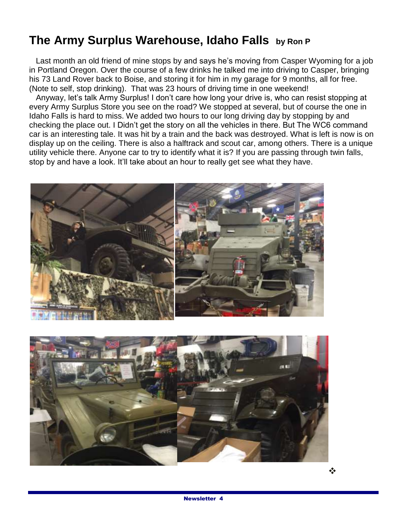# **The Army Surplus Warehouse, Idaho Falls by Ron P**

 Last month an old friend of mine stops by and says he's moving from Casper Wyoming for a job in Portland Oregon. Over the course of a few drinks he talked me into driving to Casper, bringing his 73 Land Rover back to Boise, and storing it for him in my garage for 9 months, all for free. (Note to self, stop drinking). That was 23 hours of driving time in one weekend!

 Anyway, let's talk Army Surplus! I don't care how long your drive is, who can resist stopping at every Army Surplus Store you see on the road? We stopped at several, but of course the one in Idaho Falls is hard to miss. We added two hours to our long driving day by stopping by and checking the place out. I Didn't get the story on all the vehicles in there. But The WC6 command car is an interesting tale. It was hit by a train and the back was destroyed. What is left is now is on display up on the ceiling. There is also a halftrack and scout car, among others. There is a unique utility vehicle there. Anyone car to try to identify what it is? If you are passing through twin falls, stop by and have a look. It'll take about an hour to really get see what they have.



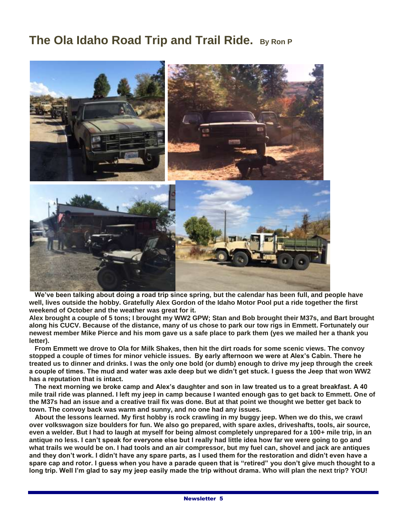# **The Ola Idaho Road Trip and Trail Ride. By Ron P**



 **We've been talking about doing a road trip since spring, but the calendar has been full, and people have well, lives outside the hobby. Gratefully Alex Gordon of the Idaho Motor Pool put a ride together the first weekend of October and the weather was great for it.** 

**Alex brought a couple of 5 tons; I brought my WW2 GPW; Stan and Bob brought their M37s, and Bart brought along his CUCV. Because of the distance, many of us chose to park our tow rigs in Emmett. Fortunately our newest member Mike Pierce and his mom gave us a safe place to park them (yes we mailed her a thank you letter).**

 **From Emmett we drove to Ola for Milk Shakes, then hit the dirt roads for some scenic views. The convoy stopped a couple of times for minor vehicle issues. By early afternoon we were at Alex's Cabin. There he treated us to dinner and drinks. I was the only one bold (or dumb) enough to drive my jeep through the creek a couple of times. The mud and water was axle deep but we didn't get stuck. I guess the Jeep that won WW2 has a reputation that is intact.** 

 **The next morning we broke camp and Alex's daughter and son in law treated us to a great breakfast. A 40 mile trail ride was planned. I left my jeep in camp because I wanted enough gas to get back to Emmett. One of the M37s had an issue and a creative trail fix was done. But at that point we thought we better get back to town. The convoy back was warm and sunny, and no one had any issues.**

 **About the lessons learned. My first hobby is rock crawling in my buggy jeep. When we do this, we crawl over volkswagon size boulders for fun. We also go prepared, with spare axles, driveshafts, tools, air source, even a welder. But I had to laugh at myself for being almost completely unprepared for a 100+ mile trip, in an antique no less. I can't speak for everyone else but I really had little idea how far we were going to go and what trails we would be on. I had tools and an air compressor, but my fuel can, shovel and jack are antiques and they don't work. I didn't have any spare parts, as I used them for the restoration and didn't even have a spare cap and rotor. I guess when you have a parade queen that is "retired" you don't give much thought to a long trip. Well I'm glad to say my jeep easily made the trip without drama. Who will plan the next trip? YOU!**